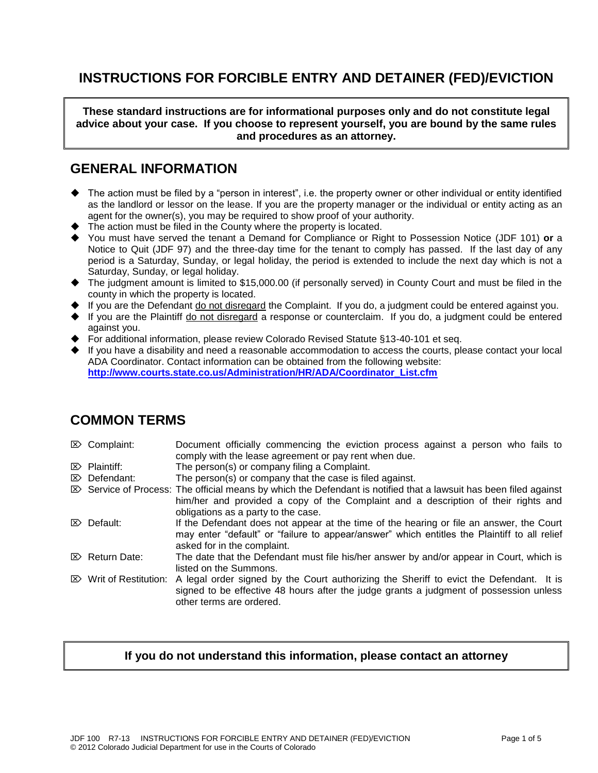# **INSTRUCTIONS FOR FORCIBLE ENTRY AND DETAINER (FED)/EVICTION**

**These standard instructions are for informational purposes only and do not constitute legal advice about your case. If you choose to represent yourself, you are bound by the same rules and procedures as an attorney.** 

## **GENERAL INFORMATION**

- The action must be filed by a "person in interest", i.e. the property owner or other individual or entity identified as the landlord or lessor on the lease. If you are the property manager or the individual or entity acting as an agent for the owner(s), you may be required to show proof of your authority.
- ◆ The action must be filed in the County where the property is located.
- You must have served the tenant a Demand for Compliance or Right to Possession Notice (JDF 101) **or** a Notice to Quit (JDF 97) and the three-day time for the tenant to comply has passed. If the last day of any period is a Saturday, Sunday, or legal holiday, the period is extended to include the next day which is not a Saturday, Sunday, or legal holiday.
- The judgment amount is limited to \$15,000.00 (if personally served) in County Court and must be filed in the county in which the property is located.
- If you are the Defendant do not disregard the Complaint. If you do, a judgment could be entered against you.
- If you are the Plaintiff do not disregard a response or counterclaim. If you do, a judgment could be entered against you.
- For additional information, please review Colorado Revised Statute §13-40-101 et seq.
- If you have a disability and need a reasonable accommodation to access the courts, please contact your local ADA Coordinator. Contact information can be obtained from the following website: **[http://www.courts.state.co.us/Administration/HR/ADA/Coordinator\\_List.cfm](http://www.courts.state.co.us/Administration/HR/ADA/Coordinator_List.cfm)**

## **COMMON TERMS**

| $\mathbb{Z}$ Complaint:               | Document officially commencing the eviction process against a person who fails to                                         |
|---------------------------------------|---------------------------------------------------------------------------------------------------------------------------|
|                                       | comply with the lease agreement or pay rent when due.                                                                     |
| $\mathbb{Z}$ Plaintiff:               | The person(s) or company filing a Complaint.                                                                              |
| $\mathbb{Z}$ Defendant:               | The person(s) or company that the case is filed against.                                                                  |
|                                       | $\otimes$ Service of Process: The official means by which the Defendant is notified that a lawsuit has been filed against |
|                                       | him/her and provided a copy of the Complaint and a description of their rights and                                        |
|                                       | obligations as a party to the case.                                                                                       |
| $\mathbb{Z}$ Default:                 | If the Defendant does not appear at the time of the hearing or file an answer, the Court                                  |
|                                       | may enter "default" or "failure to appear/answer" which entitles the Plaintiff to all relief                              |
|                                       | asked for in the complaint.                                                                                               |
| $\mathbb{Z}$ Return Date:             | The date that the Defendant must file his/her answer by and/or appear in Court, which is                                  |
|                                       | listed on the Summons.                                                                                                    |
| $\triangleright$ Writ of Restitution: | A legal order signed by the Court authorizing the Sheriff to evict the Defendant. It is                                   |
|                                       | signed to be effective 48 hours after the judge grants a judgment of possession unless                                    |
|                                       | other terms are ordered.                                                                                                  |
|                                       |                                                                                                                           |

## **If you do not understand this information, please contact an attorney**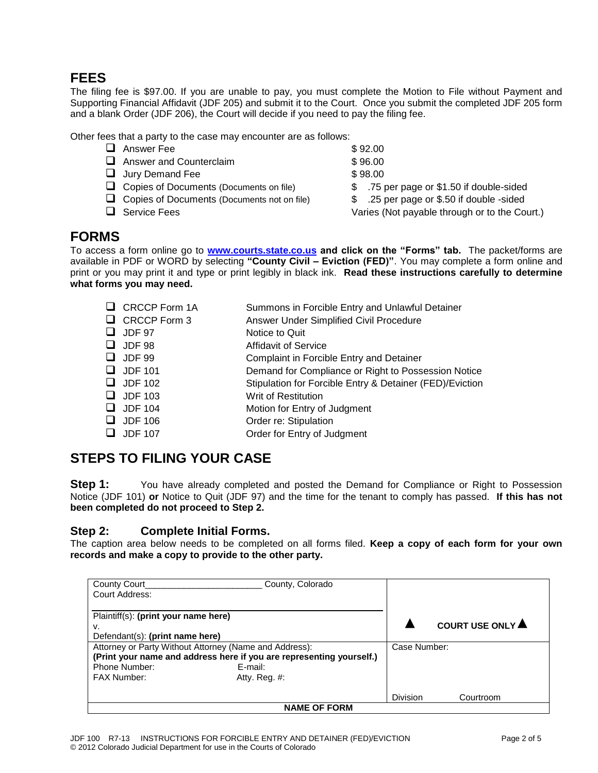## **FEES**

The filing fee is \$97.00. If you are unable to pay, you must complete the Motion to File without Payment and Supporting Financial Affidavit (JDF 205) and submit it to the Court. Once you submit the completed JDF 205 form and a blank Order (JDF 206), the Court will decide if you need to pay the filing fee.

Other fees that a party to the case may encounter are as follows:

- $\Box$  Answer Fee  $\Box$   $\Box$  892.00 Answer and Counterclaim  $$96.00$  $\Box$  Jury Demand Fee  $$ 98.00$ □ Copies of Documents (Documents on file)  $$3.75$  per page or \$1.50 if double-sided Copies of Documents (Documents not on file) \$ .25 per page or \$.50 if double -sided Service Fees Varies (Not payable through or to the Court.)
	-
	-

# **FORMS**

To access a form online go to **[www.courts.state.co.us](http://www.courts.state.co.us/) and click on the "Forms" tab.** The packet/forms are available in PDF or WORD by selecting **"County Civil – Eviction (FED)"**. You may complete a form online and print or you may print it and type or print legibly in black ink. **Read these instructions carefully to determine what forms you may need.**

| $\Box$ CRCCP Form 1A | Summons in Forcible Entry and Unlawful Detainer          |
|----------------------|----------------------------------------------------------|
| $\Box$ CRCCP Form 3  | Answer Under Simplified Civil Procedure                  |
| $\Box$ JDF 97        | Notice to Quit                                           |
| $\Box$ JDF 98        | <b>Affidavit of Service</b>                              |
| $\Box$ JDF 99        | Complaint in Forcible Entry and Detainer                 |
| $\Box$ JDF 101       | Demand for Compliance or Right to Possession Notice      |
| $\Box$ JDF 102       | Stipulation for Forcible Entry & Detainer (FED)/Eviction |
| $\Box$ JDF 103       | Writ of Restitution                                      |
| $\Box$ JDF 104       | Motion for Entry of Judgment                             |
| $\Box$ JDF 106       | Order re: Stipulation                                    |
| $\Box$ JDF 107       | Order for Entry of Judgment                              |
|                      |                                                          |

# **STEPS TO FILING YOUR CASE**

**Step 1:** You have already completed and posted the Demand for Compliance or Right to Possession Notice (JDF 101) **or** Notice to Quit (JDF 97) and the time for the tenant to comply has passed. **If this has not been completed do not proceed to Step 2.**

## **Step 2: Complete Initial Forms.**

The caption area below needs to be completed on all forms filed. **Keep a copy of each form for your own records and make a copy to provide to the other party.**

| County Court<br>Court Address:                                                                                                                                                                       | County, Colorado    |                  |           |
|------------------------------------------------------------------------------------------------------------------------------------------------------------------------------------------------------|---------------------|------------------|-----------|
| Plaintiff(s): (print your name here)<br>v.<br>Defendant(s): (print name here)                                                                                                                        |                     | COURT USE ONLY A |           |
| Attorney or Party Without Attorney (Name and Address):<br>(Print your name and address here if you are representing yourself.)<br>Phone Number:<br>E-mail:<br><b>FAX Number:</b><br>Atty. Reg. $#$ : | Case Number:        |                  |           |
|                                                                                                                                                                                                      | <b>NAME OF FORM</b> | <b>Division</b>  | Courtroom |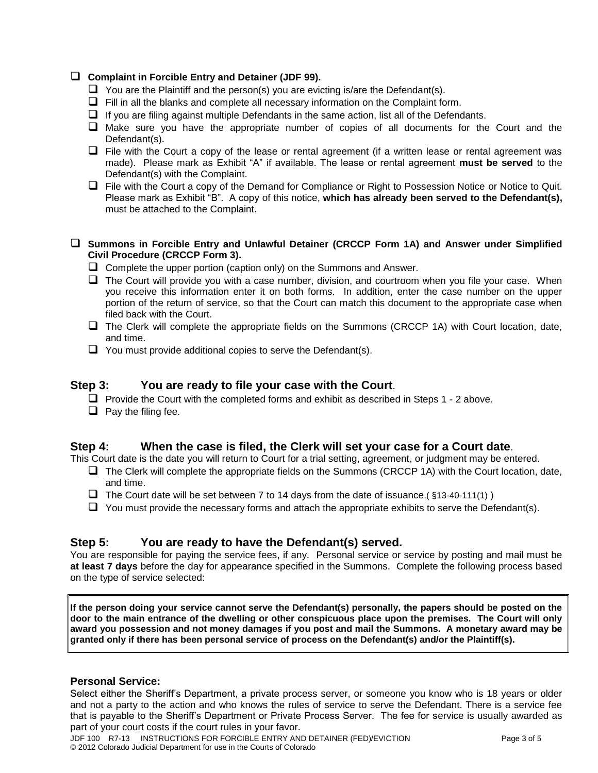#### **Complaint in Forcible Entry and Detainer (JDF 99).**

- $\Box$  You are the Plaintiff and the person(s) you are evicting is/are the Defendant(s).
- $\Box$  Fill in all the blanks and complete all necessary information on the Complaint form.
- $\Box$  If you are filing against multiple Defendants in the same action, list all of the Defendants.
- $\Box$  Make sure you have the appropriate number of copies of all documents for the Court and the Defendant(s).
- $\Box$  File with the Court a copy of the lease or rental agreement (if a written lease or rental agreement was made). Please mark as Exhibit "A" if available. The lease or rental agreement **must be served** to the Defendant(s) with the Complaint.
- $\Box$  File with the Court a copy of the Demand for Compliance or Right to Possession Notice or Notice to Quit. Please mark as Exhibit "B". A copy of this notice, **which has already been served to the Defendant(s),** must be attached to the Complaint.

#### **Summons in Forcible Entry and Unlawful Detainer (CRCCP Form 1A) and Answer under Simplified Civil Procedure (CRCCP Form 3).**

- $\Box$  Complete the upper portion (caption only) on the Summons and Answer.
- $\Box$  The Court will provide you with a case number, division, and courtroom when you file your case. When you receive this information enter it on both forms. In addition, enter the case number on the upper portion of the return of service, so that the Court can match this document to the appropriate case when filed back with the Court.
- $\Box$  The Clerk will complete the appropriate fields on the Summons (CRCCP 1A) with Court location, date, and time.
- $\Box$  You must provide additional copies to serve the Defendant(s).

### **Step 3: You are ready to file your case with the Court**.

- $\Box$  Provide the Court with the completed forms and exhibit as described in Steps 1 2 above.
- $\Box$  Pay the filing fee.

### **Step 4: When the case is filed, the Clerk will set your case for a Court date**.

This Court date is the date you will return to Court for a trial setting, agreement, or judgment may be entered.

- $\Box$  The Clerk will complete the appropriate fields on the Summons (CRCCP 1A) with the Court location, date, and time.
- $\Box$  The Court date will be set between 7 to 14 days from the date of issuance.( §13-40-111(1) )
- $\Box$  You must provide the necessary forms and attach the appropriate exhibits to serve the Defendant(s).

### **Step 5: You are ready to have the Defendant(s) served.**

You are responsible for paying the service fees, if any. Personal service or service by posting and mail must be **at least 7 days** before the day for appearance specified in the Summons. Complete the following process based on the type of service selected:

**If the person doing your service cannot serve the Defendant(s) personally, the papers should be posted on the door to the main entrance of the dwelling or other conspicuous place upon the premises. The Court will only award you possession and not money damages if you post and mail the Summons. A monetary award may be granted only if there has been personal service of process on the Defendant(s) and/or the Plaintiff(s).**

#### **Personal Service:**

Select either the Sheriff's Department, a private process server, or someone you know who is 18 years or older and not a party to the action and who knows the rules of service to serve the Defendant. There is a service fee that is payable to the Sheriff's Department or Private Process Server. The fee for service is usually awarded as part of your court costs if the court rules in your favor.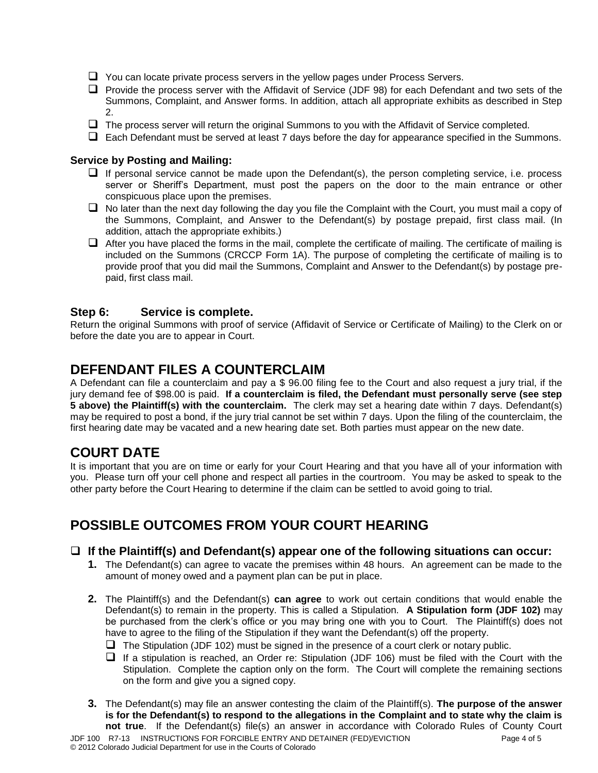- $\Box$  You can locate private process servers in the yellow pages under Process Servers.
- $\Box$  Provide the process server with the Affidavit of Service (JDF 98) for each Defendant and two sets of the Summons, Complaint, and Answer forms. In addition, attach all appropriate exhibits as described in Step 2.
- $\Box$  The process server will return the original Summons to you with the Affidavit of Service completed.
- $\Box$  Each Defendant must be served at least 7 days before the day for appearance specified in the Summons.

### **Service by Posting and Mailing:**

- $\Box$  If personal service cannot be made upon the Defendant(s), the person completing service, i.e. process server or Sheriff's Department, must post the papers on the door to the main entrance or other conspicuous place upon the premises.
- $\Box$  No later than the next day following the day you file the Complaint with the Court, you must mail a copy of the Summons, Complaint, and Answer to the Defendant(s) by postage prepaid, first class mail. (In addition, attach the appropriate exhibits.)
- $\Box$  After you have placed the forms in the mail, complete the certificate of mailing. The certificate of mailing is included on the Summons (CRCCP Form 1A). The purpose of completing the certificate of mailing is to provide proof that you did mail the Summons, Complaint and Answer to the Defendant(s) by postage prepaid, first class mail.

### **Step 6: Service is complete.**

Return the original Summons with proof of service (Affidavit of Service or Certificate of Mailing) to the Clerk on or before the date you are to appear in Court.

# **DEFENDANT FILES A COUNTERCLAIM**

A Defendant can file a counterclaim and pay a \$ 96.00 filing fee to the Court and also request a jury trial, if the jury demand fee of \$98.00 is paid. **If a counterclaim is filed, the Defendant must personally serve (see step 5 above) the Plaintiff(s) with the counterclaim.** The clerk may set a hearing date within 7 days. Defendant(s) may be required to post a bond, if the jury trial cannot be set within 7 days. Upon the filing of the counterclaim, the first hearing date may be vacated and a new hearing date set. Both parties must appear on the new date.

# **COURT DATE**

It is important that you are on time or early for your Court Hearing and that you have all of your information with you. Please turn off your cell phone and respect all parties in the courtroom. You may be asked to speak to the other party before the Court Hearing to determine if the claim can be settled to avoid going to trial.

# **POSSIBLE OUTCOMES FROM YOUR COURT HEARING**

### **If the Plaintiff(s) and Defendant(s) appear one of the following situations can occur:**

- **1.** The Defendant(s) can agree to vacate the premises within 48 hours. An agreement can be made to the amount of money owed and a payment plan can be put in place.
- **2.** The Plaintiff(s) and the Defendant(s) **can agree** to work out certain conditions that would enable the Defendant(s) to remain in the property. This is called a Stipulation. **A Stipulation form (JDF 102)** may be purchased from the clerk's office or you may bring one with you to Court. The Plaintiff(s) does not have to agree to the filing of the Stipulation if they want the Defendant(s) off the property.
	- $\Box$  The Stipulation (JDF 102) must be signed in the presence of a court clerk or notary public.
	- $\Box$  If a stipulation is reached, an Order re: Stipulation (JDF 106) must be filed with the Court with the Stipulation. Complete the caption only on the form. The Court will complete the remaining sections on the form and give you a signed copy.
- **3.** The Defendant(s) may file an answer contesting the claim of the Plaintiff(s). **The purpose of the answer is for the Defendant(s) to respond to the allegations in the Complaint and to state why the claim is not true**. If the Defendant(s) file(s) an answer in accordance with Colorado Rules of County Court